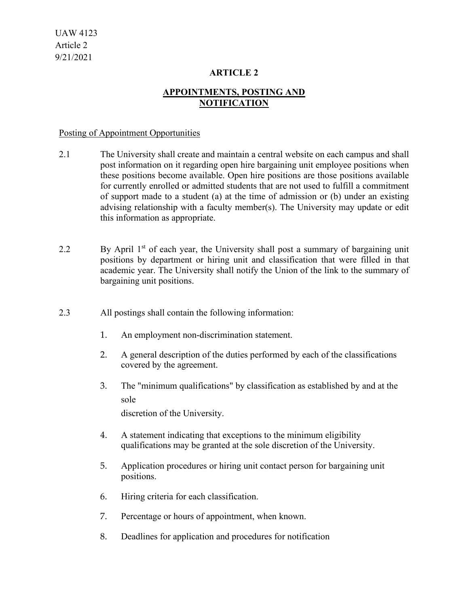### **ARTICLE 2**

## **APPOINTMENTS, POSTING AND NOTIFICATION**

#### Posting of Appointment Opportunities

- 2.1 The University shall create and maintain a central website on each campus and shall post information on it regarding open hire bargaining unit employee positions when these positions become available. Open hire positions are those positions available for currently enrolled or admitted students that are not used to fulfill a commitment of support made to a student (a) at the time of admission or (b) under an existing advising relationship with a faculty member(s). The University may update or edit this information as appropriate.
- 2.2 By April  $1<sup>st</sup>$  of each year, the University shall post a summary of bargaining unit positions by department or hiring unit and classification that were filled in that academic year. The University shall notify the Union of the link to the summary of bargaining unit positions.
- 2.3 All postings shall contain the following information:
	- 1. An employment non-discrimination statement.
	- 2. A general description of the duties performed by each of the classifications covered by the agreement.
	- 3. The "minimum qualifications" by classification as established by and at the sole

discretion of the University.

- 4. A statement indicating that exceptions to the minimum eligibility qualifications may be granted at the sole discretion of the University.
- 5. Application procedures or hiring unit contact person for bargaining unit positions.
- 6. Hiring criteria for each classification.
- 7. Percentage or hours of appointment, when known.
- 8. Deadlines for application and procedures for notification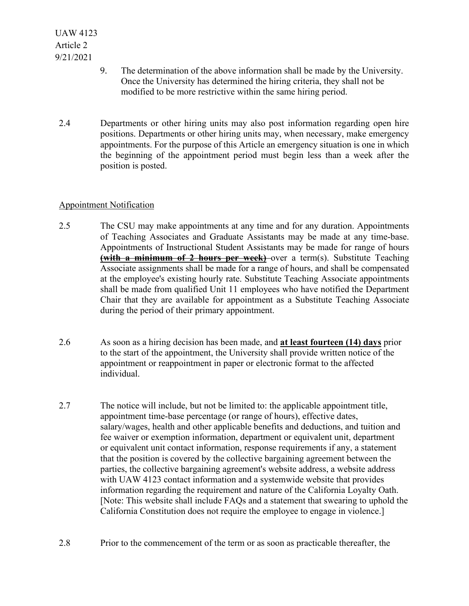- 9. The determination of the above information shall be made by the University. Once the University has determined the hiring criteria, they shall not be modified to be more restrictive within the same hiring period.
- 2.4 Departments or other hiring units may also post information regarding open hire positions. Departments or other hiring units may, when necessary, make emergency appointments. For the purpose of this Article an emergency situation is one in which the beginning of the appointment period must begin less than a week after the position is posted.

## Appointment Notification

- 2.5 The CSU may make appointments at any time and for any duration. Appointments of Teaching Associates and Graduate Assistants may be made at any time-base. Appointments of Instructional Student Assistants may be made for range of hours **(with a minimum of 2 hours per week)** over a term(s). Substitute Teaching Associate assignments shall be made for a range of hours, and shall be compensated at the employee's existing hourly rate. Substitute Teaching Associate appointments shall be made from qualified Unit 11 employees who have notified the Department Chair that they are available for appointment as a Substitute Teaching Associate during the period of their primary appointment.
- 2.6 As soon as a hiring decision has been made, and **at least fourteen (14) days** prior to the start of the appointment, the University shall provide written notice of the appointment or reappointment in paper or electronic format to the affected individual.
- 2.7 The notice will include, but not be limited to: the applicable appointment title, appointment time-base percentage (or range of hours), effective dates, salary/wages, health and other applicable benefits and deductions, and tuition and fee waiver or exemption information, department or equivalent unit, department or equivalent unit contact information, response requirements if any, a statement that the position is covered by the collective bargaining agreement between the parties, the collective bargaining agreement's website address, a website address with UAW 4123 contact information and a systemwide website that provides information regarding the requirement and nature of the California Loyalty Oath. [Note: This website shall include FAQs and a statement that swearing to uphold the California Constitution does not require the employee to engage in violence.]
- 2.8 Prior to the commencement of the term or as soon as practicable thereafter, the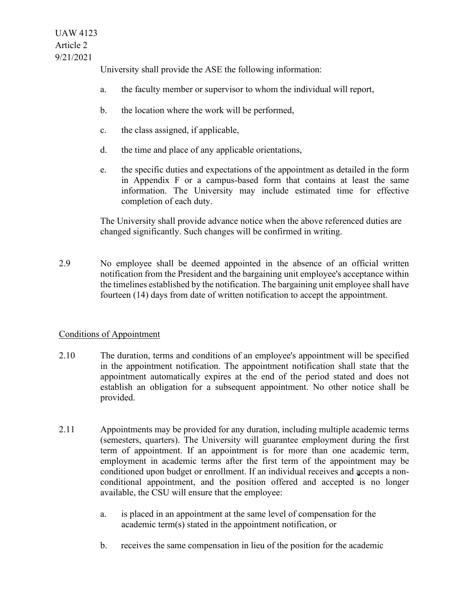University shall provide the ASE the following information:

- a. the faculty member or supervisor to whom the individual will report,
- b. the location where the work will be performed,
- c. the class assigned, if applicable,
- d. the time and place of any applicable orientations,
- e. the specific duties and expectations of the appointment as detailed in the form in Appendix F or a campus-based form that contains at least the same information. The University may include estimated time for effective completion of each duty.

The University shall provide advance notice when the above referenced duties are changed significantly. Such changes will be confirmed in writing.

2.9 No employee shall be deemed appointed in the absence of an official written notification from the President and the bargaining unit employee's acceptance within the timelines established by the notification. The bargaining unit employee shall have fourteen (14) days from date of written notification to accept the appointment.

## Conditions of Appointment

- 2.10 The duration, terms and conditions of an employee's appointment will be specified in the appointment notification. The appointment notification shall state that the appointment automatically expires at the end of the period stated and does not establish an obligation for a subsequent appointment. No other notice shall be provided.
- 2.11 Appointments may be provided for any duration, including multiple academic terms (semesters, quarters). The University will guarantee employment during the first term of appointment. If an appointment is for more than one academic term, employment in academic terms after the first term of the appointment may be conditioned upon budget or enrollment. If an individual receives and accepts a nonconditional appointment, and the position offered and accepted is no longer available, the CSU will ensure that the employee:
	- a. is placed in an appointment at the same level of compensation for the academic term(s) stated in the appointment notification, or
	- b. receives the same compensation in lieu of the position for the academic